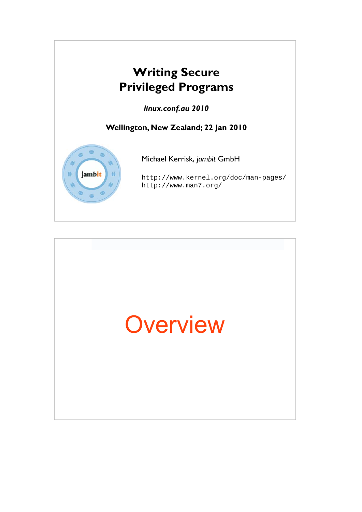

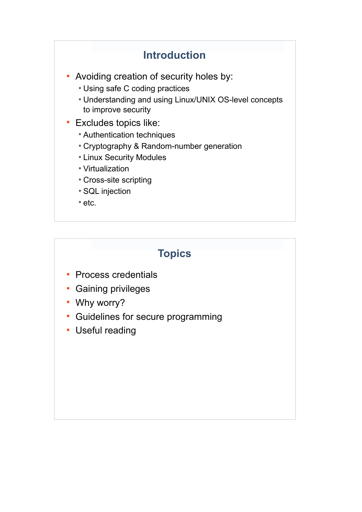## **Introduction** • Avoiding creation of security holes by: • Using safe C coding practices • Understanding and using Linux/UNIX OS-level concepts to improve security • Excludes topics like: • Authentication techniques • Cryptography & Random-number generation • Linux Security Modules • Virtualization • Cross-site scripting • SQL injection  $\cdot$  etc.

### **Topics**

- Process credentials
- Gaining privileges
- Why worry?
- Guidelines for secure programming
- Useful reading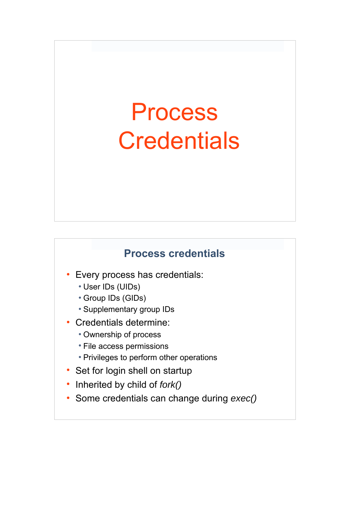# Process **Credentials**

#### **Process credentials**

66

- Every process has credentials:
	- User IDs (UIDs)
	- Group IDs (GIDs)
	- Supplementary group IDs
- Credentials determine:
	- Ownership of process
	- File access permissions
	- Privileges to perform other operations
- Set for login shell on startup
- Inherited by child of *fork()*
- Some credentials can change during  $exec()$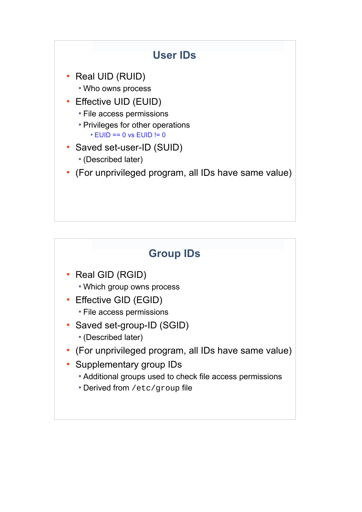

## **Group IDs** • Real GID (RGID) • Which group owns process • Effective GID (EGID) • File access permissions • Saved set-group-ID (SGID) • (Described later) (For unprivileged program, all IDs have same value) Supplementary group IDs • Additional groups used to check file access permissions • Derived from /etc/group file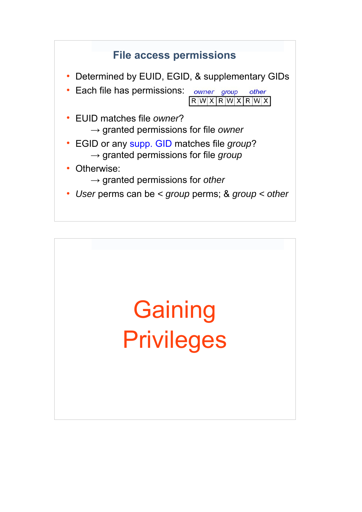

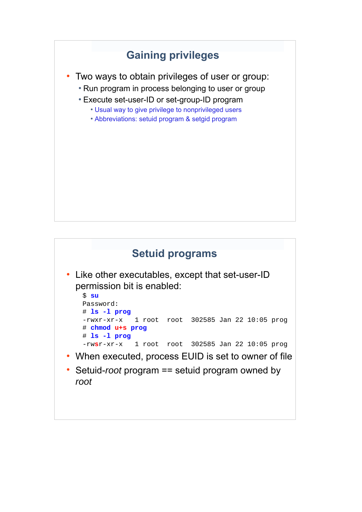## **Gaining privileges**

- Two ways to obtain privileges of user or group:
	- Run program in process belonging to user or group
	- Execute set-user-ID or set-group-ID program
		- Usual way to give privilege to nonprivileged users
		- Abbreviations: setuid program & setgid program

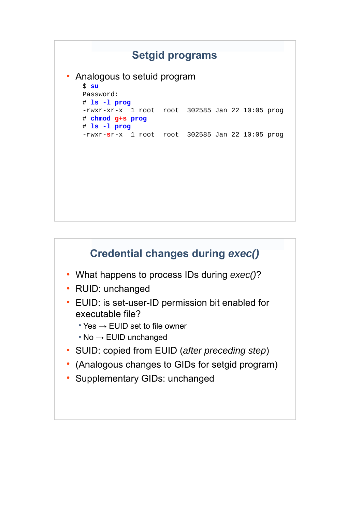

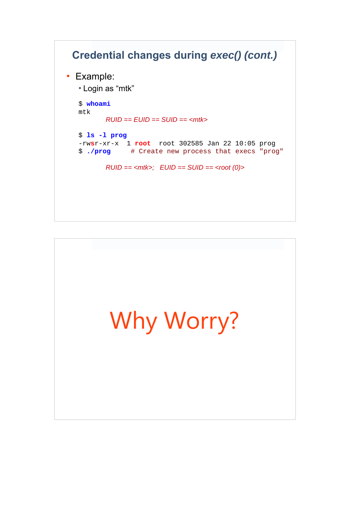## **Credential changes during** *exec() (cont.)* • Example: • Login as "mtk" \$ **whoami** mtk  *RUID == EUID == SUID == <mtk>* \$ **ls -l prog** -rw**s**r-xr-x 1 **root** root 302585 Jan 22 10:05 prog \$ **./prog** # Create new process that execs "prog"  $RUID = ;  $EUID == *SUID*$  = < *root* (0) >$

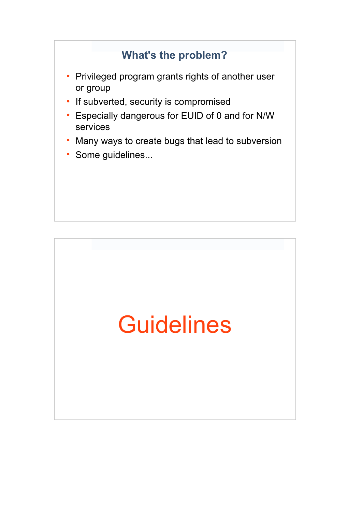### **What's the problem?**

- Privileged program grants rights of another user or group
- If subverted, security is compromised
- Especially dangerous for EUID of 0 and for N/W services
- Many ways to create bugs that lead to subversion
- Some guidelines...

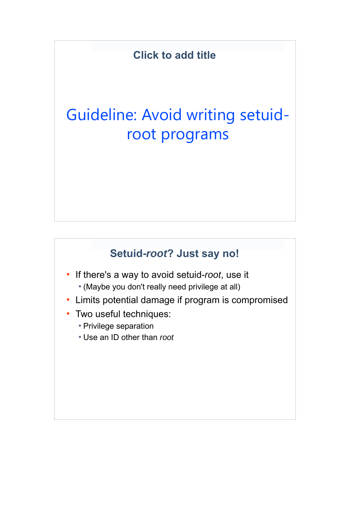## Guideline: Avoid writing setuidroot programs

#### **Setuid-***root***? Just say no!**

- If there's a way to avoid setuid-root, use it • (Maybe you don't really need privilege at all)
- Limits potential damage if program is compromised
- Two useful techniques:
	- Privilege separation
	- Use an ID other than *root*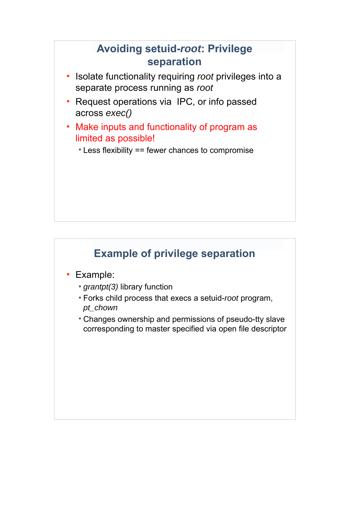#### **Avoiding setuid-***root***: Privilege separation**

- Isolate functionality requiring *root* privileges into a separate process running as *root*
- Request operations via IPC, or info passed across *exec()*
- Make inputs and functionality of program as limited as possible!
	- $\cdot$  Less flexibility == fewer chances to compromise

### **Example of privilege separation**

- Example:
	- *grantpt(3)* library function
	- Forks child process that execs a setuid-*root* program, *pt\_chown*
	- Changes ownership and permissions of pseudo-tty slave corresponding to master specified via open file descriptor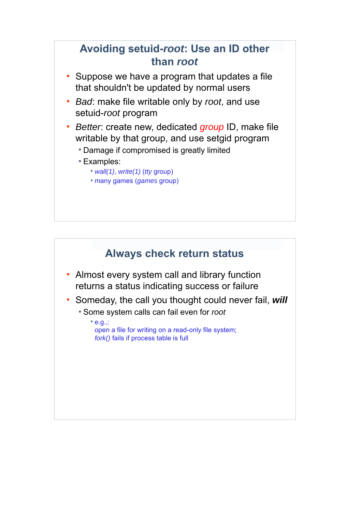

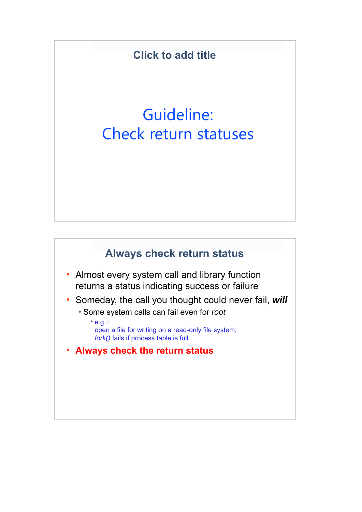## Guideline: Check return statuses



- Almost every system call and library function returns a status indicating success or failure
- Someday, the call you thought could never fail, *will* 
	- Some system calls can fail even for *root*
		- $\cdot$  e.g.,: open a file for writing on a read-only file system; *fork()* fails if process table is full
- **Always check the return status**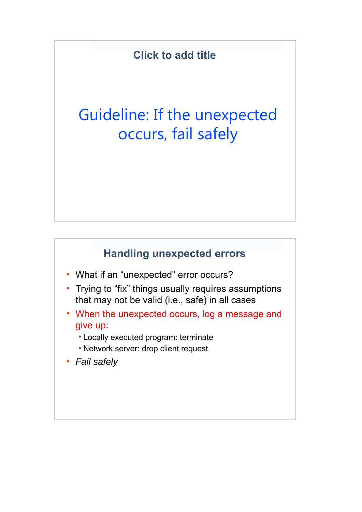## Guideline: If the unexpected occurs, fail safely

#### **Handling unexpected errors**

- What if an "unexpected" error occurs?
- Trying to "fix" things usually requires assumptions that may not be valid (i.e., safe) in all cases
- When the unexpected occurs, log a message and give up:
	- Locally executed program: terminate
	- Network server: drop client request
- *Fail safely*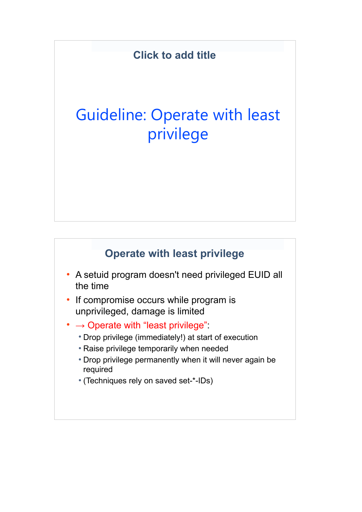## Guideline: Operate with least privilege

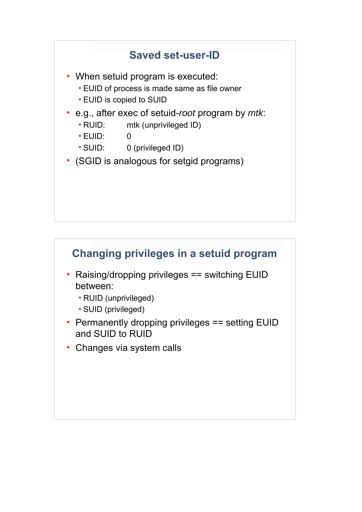#### **Saved set-user-ID**

- When setuid program is executed:
	- EUID of process is made same as file owner
	- EUID is copied to SUID
- e.g., after exec of setuid-*root* program by *mtk*:
	- RUID: mtk (unprivileged ID)
	- $\cdot$  EUID:  $\qquad \qquad 0$
	- SUID: 0 (privileged ID)
- (SGID is analogous for setgid programs)

#### **Changing privileges in a setuid program**

- Raising/dropping privileges == switching EUID between:
	- RUID (unprivileged)
	- SUID (privileged)
- Permanently dropping privileges == setting EUID and SUID to RUID
- Changes via system calls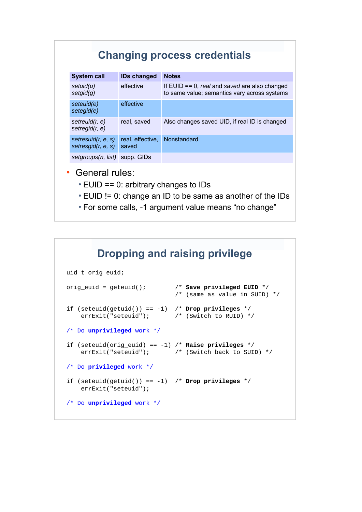#### **Changing process credentials**

| <b>System call</b>                       | <b>IDs changed</b>        | <b>Notes</b>                                                                                     |
|------------------------------------------|---------------------------|--------------------------------------------------------------------------------------------------|
| setuid(u)<br>setgid(g)                   | effective                 | If $EUID == 0$ , real and saved are also changed<br>to same value; semantics vary across systems |
| seteuid(e)<br>setegid(e)                 | effective                 |                                                                                                  |
| setreuid $(r, e)$<br>setregid $(r, e)$   | real, saved               | Also changes saved UID, if real ID is changed                                                    |
| setresuid(r, e, s)<br>setresgid(r, e, s) | real, effective,<br>saved | Nonstandard                                                                                      |
| setgroups(n, list) supp. GIDs            |                           |                                                                                                  |

- General rules:
	- $\cdot$  EUID == 0: arbitrary changes to IDs
	- EUID != 0: change an ID to be same as another of the IDs
	- 33 For some calls, -1 argument value means "no change"

#### **Dropping and raising privilege**

```
uid t orig euid;
orig_euid = geteuid(); /* Save privileged EUID */
                              /* (same as value in SUID) */
if (seteuid(getuid()) == -1) /* Drop privileges */
   errExit("seteuid"); \qquad /* (Switch to RUID) */
/* Do unprivileged work */
if (seteuid(orig_euid) == -1) /* Raise privileges */
    errExit("seteuid"); /* (Switch back to SUID) */
/* Do privileged work */
if (seteuid(getuid()) == -1) /* Drop privileges */
    errExit("seteuid");
/* Do unprivileged work */
```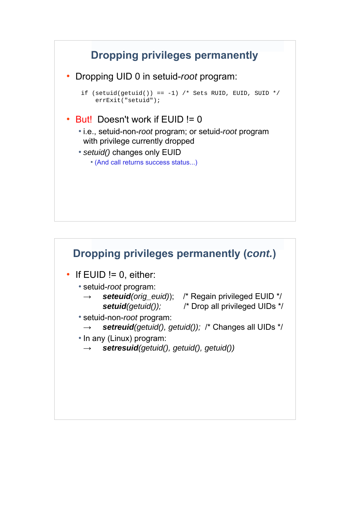### **Dropping privileges permanently**

● Dropping UID 0 in setuid-*root* program:

if (setuid(getuid()) ==  $-1$ ) /\* Sets RUID, EUID, SUID \*/ errExit("setuid");

#### $\cdot$  But! Doesn't work if EUID != 0

- i.e., setuid-non-*root* program; or setuid-*root* program with privilege currently dropped
- setuid() changes only EUID
	- (And call returns success status...)

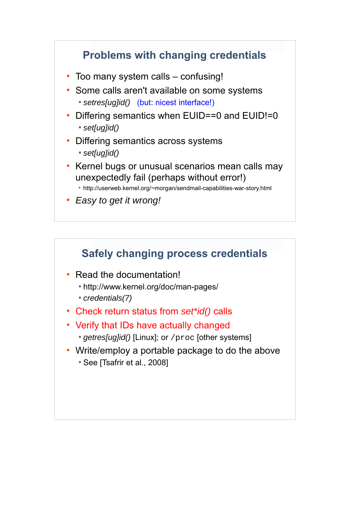#### **Problems with changing credentials**

- Too many system calls confusing!
- Some calls aren't available on some systems • setres[ug]id() (but: nicest interface!)
- Differing semantics when EUID==0 and EUID!=0 ● *set[ug]id()*
- Differing semantics across systems ● *set[ug]id()*
- Kernel bugs or unusual scenarios mean calls may unexpectedly fail (perhaps without error!)
	- http://userweb.kernel.org/~morgan/sendmail-capabilities-war-story.html
- *Easy to get it wrong!*

#### **Safely changing process credentials**

- Read the documentation!
	- http://www.kernel.org/doc/man-pages/
	- *credentials(7)*
- Check return status from *set\*id()* calls
- Verify that IDs have actually changed
	- *getres[ug]id()* [Linux]; or /proc [other systems]
- Write/employ a portable package to do the above • See [Tsafrir et al., 2008]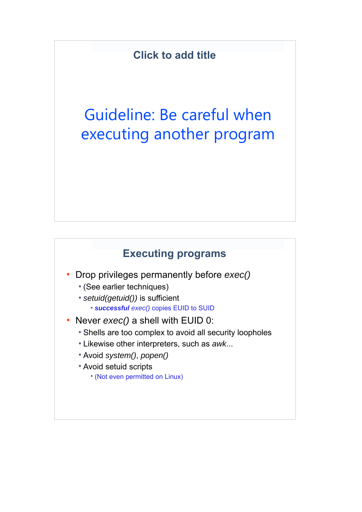## Guideline: Be careful when executing another program

### **Executing programs**

- Drop privileges permanently before *exec()* 
	- (See earlier techniques)
	- *setuid(getuid())* is sufficient ● *successful exec()* copies EUID to SUID
- Never  $exec()$  a shell with EUID 0:
	- Shells are too complex to avoid all security loopholes
	- Likewise other interpreters, such as *awk*...
	- Avoid *system()*, *popen()*
	- Avoid setuid scripts
		- (Not even permitted on Linux)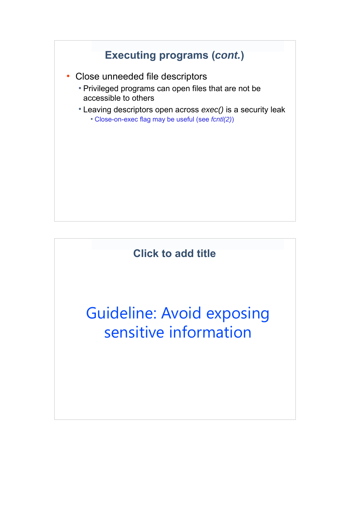

## Guideline: Avoid exposing sensitive information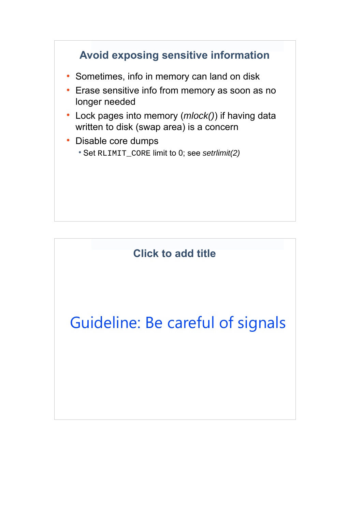### **Avoid exposing sensitive information**

- Sometimes, info in memory can land on disk
- Erase sensitive info from memory as soon as no longer needed
- Lock pages into memory (*mlock()*) if having data written to disk (swap area) is a concern
- Disable core dumps
	- Set RLIMIT\_CORE limit to 0; see *setrlimit(2)*

**Click to add title**

Guideline: Be careful of signals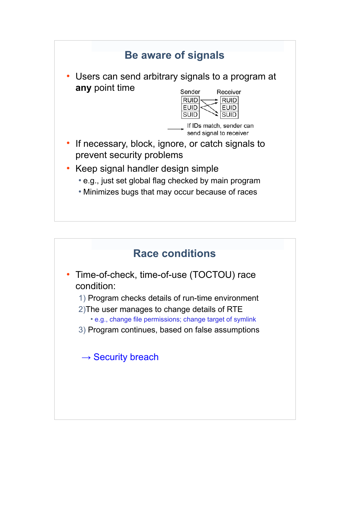

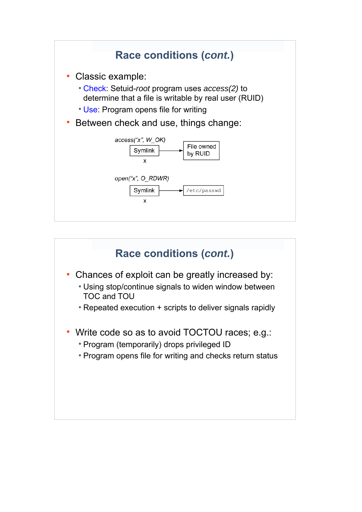

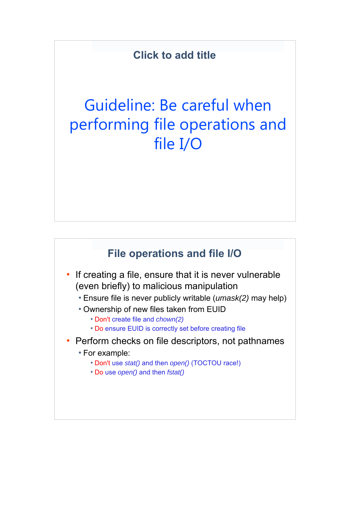## Guideline: Be careful when performing file operations and file I/O

#### **File operations and file I/O**

- If creating a file, ensure that it is never vulnerable (even briefly) to malicious manipulation
	- Ensure file is never publicly writable (*umask(2)* may help)
	- Ownership of new files taken from EUID
		- Don't create file and *chown(2)*
		- Do ensure EUID is correctly set before creating file
- Perform checks on file descriptors, not pathnames
	- For example:
		- Don't use *stat()* and then *open()* (TOCTOU race!)
		- Do use *open()* and then *fstat()*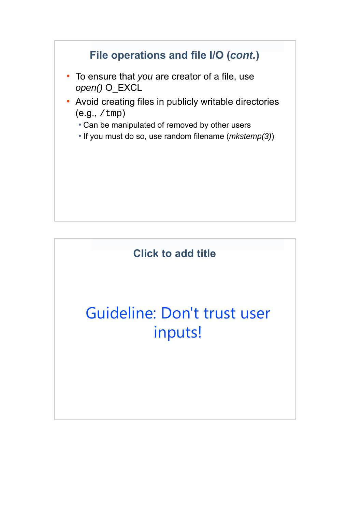

## Guideline: Don't trust user inputs!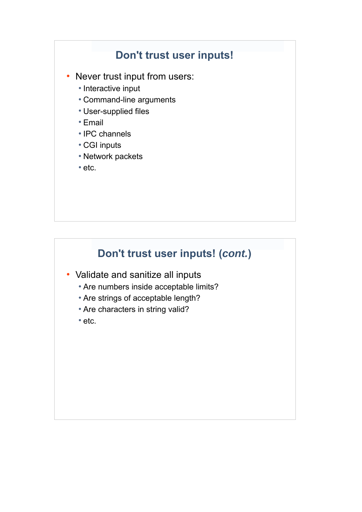#### **Don't trust user inputs!**

- Never trust input from users:
	- Interactive input
	- Command-line arguments
	- User-supplied files
	- Email
	- IPC channels
	- CGI inputs
	- Network packets
	- $\cdot$  etc.

## **Don't trust user inputs! (***cont.***)**

- Validate and sanitize all inputs
	- Are numbers inside acceptable limits?
	- Are strings of acceptable length?
	- Are characters in string valid?
	- etc.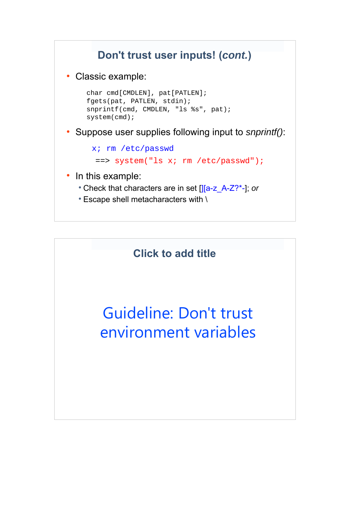## **Don't trust user inputs! (***cont.***)**

• Classic example:

```
 char cmd[CMDLEN], pat[PATLEN];
 fgets(pat, PATLEN, stdin);
 snprintf(cmd, CMDLEN, "ls %s", pat);
 system(cmd);
```
● Suppose user supplies following input to *snprintf()*:

```
 x; rm /etc/passwd
 ==> system("ls x; rm /etc/passwd");
```
- In this example:
	- Check that characters are in set [J[a-z\_A-Z?\*-]; or
	- $\cdot$  Escape shell metacharacters with \

#### **Click to add title**

## Guideline: Don't trust environment variables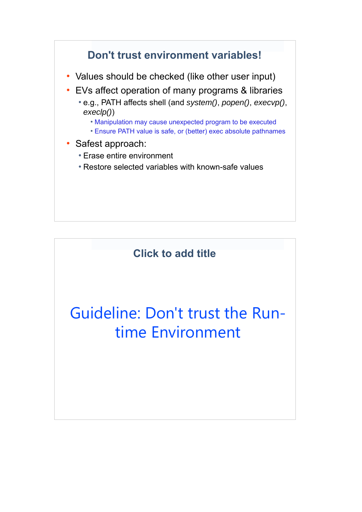

## Guideline: Don't trust the Runtime Environment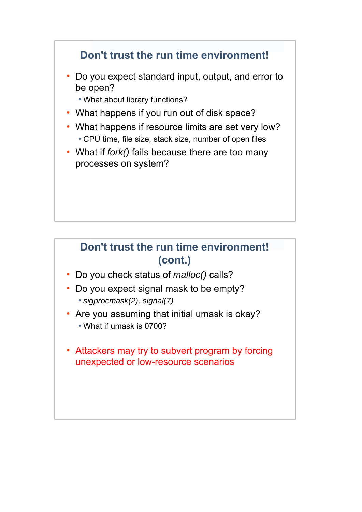#### **Don't trust the run time environment!**

• Do you expect standard input, output, and error to be open?

• What about library functions?

- What happens if you run out of disk space?
- What happens if resource limits are set very low? • CPU time, file size, stack size, number of open files
- What if *fork()* fails because there are too many processes on system?

#### **Don't trust the run time environment! (cont.)**

- Do you check status of *malloc()* calls?
- Do you expect signal mask to be empty? ● *sigprocmask(2), signal(7)*
- Are you assuming that initial umask is okay? • What if umask is 0700?
- Attackers may try to subvert program by forcing unexpected or low-resource scenarios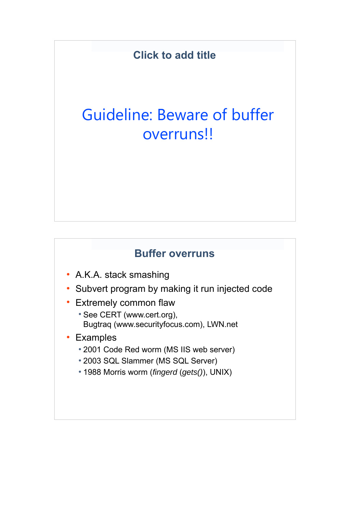## Guideline: Beware of buffer overruns!!

#### **Buffer overruns**

- A.K.A. stack smashing
- Subvert program by making it run injected code
- Extremely common flaw
	- See CERT (www.cert.org), Bugtraq (www.securityfocus.com), LWN.net
- Examples
	- 2001 Code Red worm (MS IIS web server)
	- 2003 SQL Slammer (MS SQL Server)
	- 1988 Morris worm (*fingerd* (*gets()*), UNIX)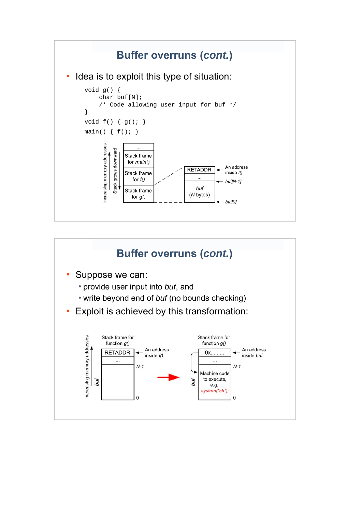

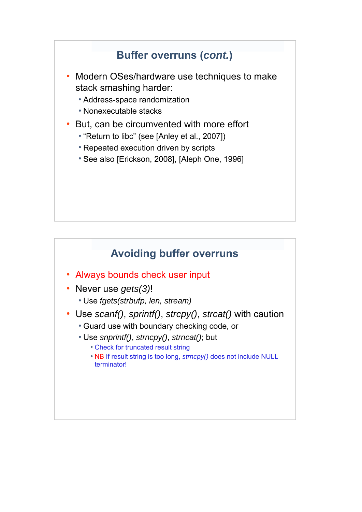### **Buffer overruns (***cont.***)**

- Modern OSes/hardware use techniques to make stack smashing harder:
	- Address-space randomization
	- Nonexecutable stacks
- But, can be circumvented with more effort
	- "Return to libc" (see [Anley et al., 2007])
	- Repeated execution driven by scripts
	- See also [Erickson, 2008], [Aleph One, 1996]

#### **Avoiding buffer overruns**

- Always bounds check user input
- Never use *gets(3)*!
	- Use *fgets(strbufp, len, stream)*
- Use *scanf()*, *sprintf()*, *strcpy()*, *strcat()* with caution
	- Guard use with boundary checking code, or
	- Use *snprintf()*, *strncpy()*, *strncat()*; but
		- Check for truncated result string
		- NB If result string is too long, *strncpy()* does not include NULL terminator!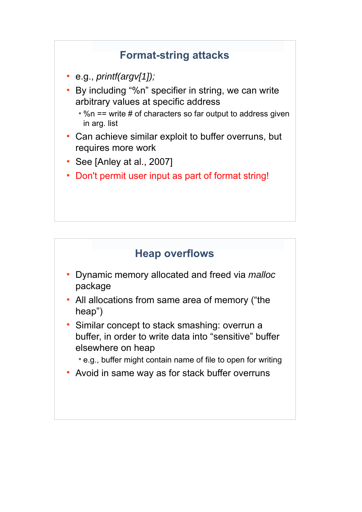### **Format-string attacks**

- e.g., *printf(argv[1]);*
- By including "%n" specifier in string, we can write arbitrary values at specific address
	- $\cdot$  %n == write # of characters so far output to address given in arg. list
- Can achieve similar exploit to buffer overruns, but requires more work
- See [Anley at al., 2007]
- Don't permit user input as part of format string!

#### **Heap overflows**

- Dynamic memory allocated and freed via *malloc* package
- All allocations from same area of memory ("the heap")
- Similar concept to stack smashing: overrun a buffer, in order to write data into "sensitive" buffer elsewhere on heap
	- e.g., buffer might contain name of file to open for writing
- Avoid in same way as for stack buffer overruns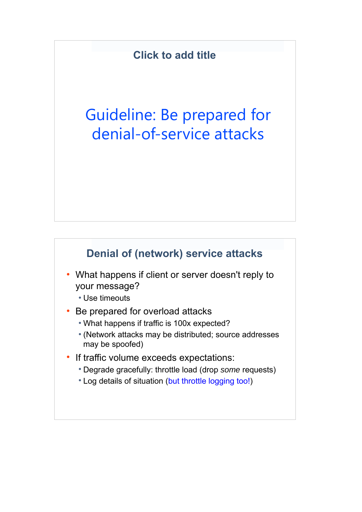## Guideline: Be prepared for denial-of-service attacks

#### **Denial of (network) service attacks**

- What happens if client or server doesn't reply to your message?
	- Use timeouts
- Be prepared for overload attacks
	- What happens if traffic is 100x expected?
	- (Network attacks may be distributed; source addresses may be spoofed)
- If traffic volume exceeds expectations:
	- Degrade gracefully: throttle load (drop *some* requests)
	- Log details of situation (but throttle logging too!)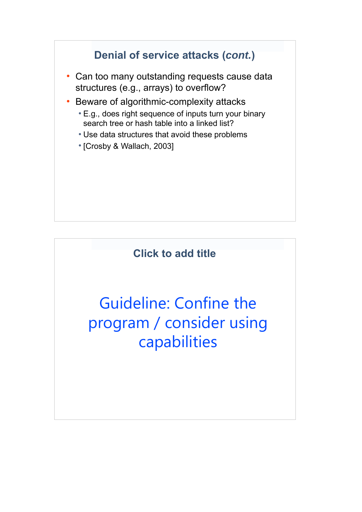

Guideline: Confine the program / consider using capabilities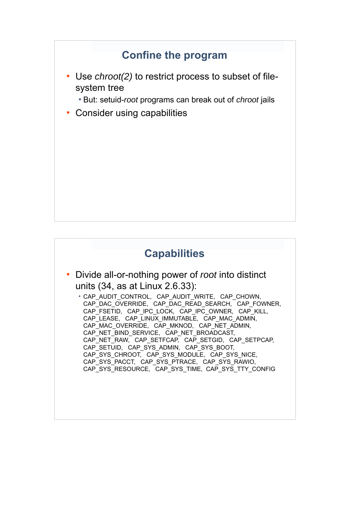#### **Confine the program**

- Use *chroot(2)* to restrict process to subset of filesystem tree
	- But: setuid-*root* programs can break out of *chroot* jails
- Consider using capabilities

### **Capabilities**

● Divide all-or-nothing power of *root* into distinct units (34, as at Linux 2.6.33):

● CAP\_AUDIT\_CONTROL, CAP\_AUDIT\_WRITE, CAP\_CHOWN, CAP\_DAC\_OVERRIDE, CAP\_DAC\_READ\_SEARCH, CAP\_FOWNER, CAP\_FSETID, CAP\_IPC\_LOCK, CAP\_IPC\_OWNER, CAP\_KILL, CAP\_LEASE, CAP\_LINUX\_IMMUTABLE, CAP\_MAC\_ADMIN, CAP\_MAC\_OVERRIDE, CAP\_MKNOD, CAP\_NET\_ADMIN, CAP\_NET\_BIND\_SERVICE, CAP\_NET\_BROADCAST, CAP\_NET\_RAW, CAP\_SETFCAP, CAP\_SETGID, CAP\_SETPCAP, CAP\_SETUID, CAP\_SYS\_ADMIN, CAP\_SYS\_BOOT, CAP\_SYS\_CHROOT, CAP\_SYS\_MODULE, CAP\_SYS\_NICE, CAP\_SYS\_PACCT, CAP\_SYS\_PTRACE, CAP\_SYS\_RAWIO, CAP\_SYS\_RESOURCE, CAP\_SYS\_TIME, CAP\_SYS\_TTY\_CONFIG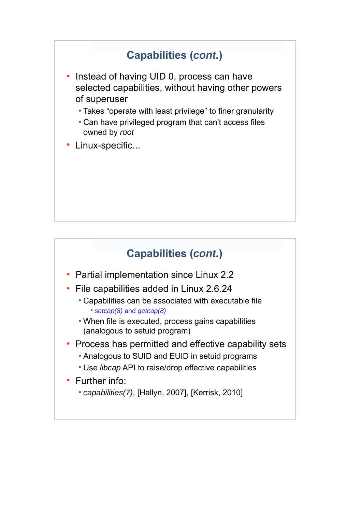### **Capabilities (***cont.***)**

- Instead of having UID 0, process can have selected capabilities, without having other powers of superuser
	- Takes "operate with least privilege" to finer granularity
	- Can have privileged program that can't access files owned by *root*
- Linux-specific...

### **Capabilities (***cont.***)**

- Partial implementation since Linux 2.2
- File capabilities added in Linux 2.6.24
	- Capabilities can be associated with executable file ● *setcap(8)* and *getcap(8)*
	- When file is executed, process gains capabilities (analogous to setuid program)
- Process has permitted and effective capability sets
	- Analogous to SUID and EUID in setuid programs
	- Use *libcap* API to raise/drop effective capabilities
- Further info:
	- *capabilities(7)*, [Hallyn, 2007], [Kerrisk, 2010]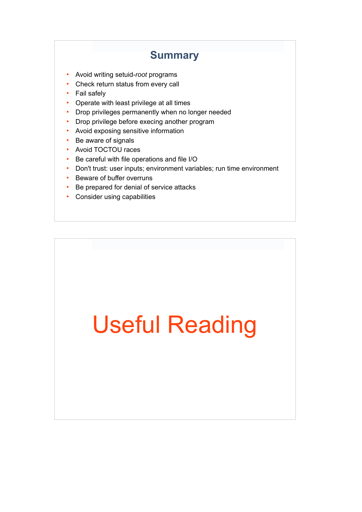#### **Summary**

- Avoid writing setuid-*root* programs
- Check return status from every call
- Fail safely
- Operate with least privilege at all times
- Drop privileges permanently when no longer needed
- Drop privilege before execing another program
- Avoid exposing sensitive information
- Be aware of signals
- Avoid TOCTOU races
- Be careful with file operations and file I/O
- Don't trust: user inputs; environment variables; run time environment
- Beware of buffer overruns
- Be prepared for denial of service attacks
- Consider using capabilities

# Useful Reading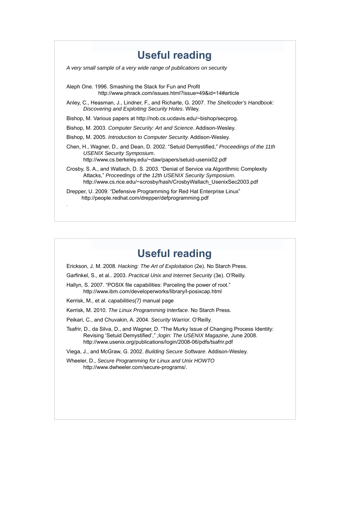| <b>Useful reading</b>                                                                                                                                                                                                         |
|-------------------------------------------------------------------------------------------------------------------------------------------------------------------------------------------------------------------------------|
| A very small sample of a very wide range of publications on security                                                                                                                                                          |
| Aleph One. 1996. Smashing the Stack for Fun and Profit<br>http://www.phrack.com/issues.html?issue=49&id=14#article                                                                                                            |
| Anley, C., Heasman, J., Lindner, F., and Richarte, G. 2007. The Shellcoder's Handbook:<br>Discovering and Exploiting Security Holes. Wiley.                                                                                   |
| Bishop, M. Various papers at http://nob.cs.ucdavis.edu/~bishop/secprog.                                                                                                                                                       |
| Bishop, M. 2003. Computer Security: Art and Science. Addison-Wesley.                                                                                                                                                          |
| Bishop, M. 2005. Introduction to Computer Security. Addison-Wesley.                                                                                                                                                           |
| Chen, H., Wagner, D., and Dean, D. 2002. "Setuid Demystified," Proceedings of the 11th<br><b>USENIX Security Symposium.</b><br>http://www.cs.berkeley.edu/~daw/papers/setuid-usenix02.pdf                                     |
| Crosby, S. A., and Wallach, D. S. 2003. "Denial of Service via Algorithmic Complexity<br>Attacks," Proceedings of the 12th USENIX Security Symposium.<br>http://www.cs.rice.edu/~scrosby/hash/CrosbyWallach UsenixSec2003.pdf |
| Drepper, U. 2009. "Defensive Programming for Red Hat Enterprise Linux"<br>http://people.redhat.com/drepper/defprogramming.pdf                                                                                                 |

#### **Useful reading**

Erickson, J. M. 2008. *Hacking: The Art of Exploitation* (2e). No Starch Press.

Garfinkel, S., et al.. 2003. *Practical Unix and Internet Security* (3e). O'Reilly.

Hallyn, S. 2007. "POSIX file capabilities: Parceling the power of root." http://www.ibm.com/developerworks/library/l-posixcap.html

Kerrisk, M., et al. *capabilities(7)* manual page

Kerrisk, M. 2010. *The Linux Programming Interface*. No Starch Press.

Peikari, C., and Chuvakin, A. 2004. *Security Warrior*. O'Reilly.

Tsafrir, D., da Silva, D., and Wagner, D. "The Murky Issue of Changing Process Identity: Revising 'Setuid Demystified'," *;login: The USENIX Magazine*, June 2008. http://www.usenix.org/publications/login/2008-06/pdfs/tsafrir.pdf

Viega, J., and McGraw, G. 2002. *Building Secure Software*. Addison-Wesley.

Wheeler, D., *Secure Programming for Linux and Unix HOWTO* http://www.dwheeler.com/secure-programs/.